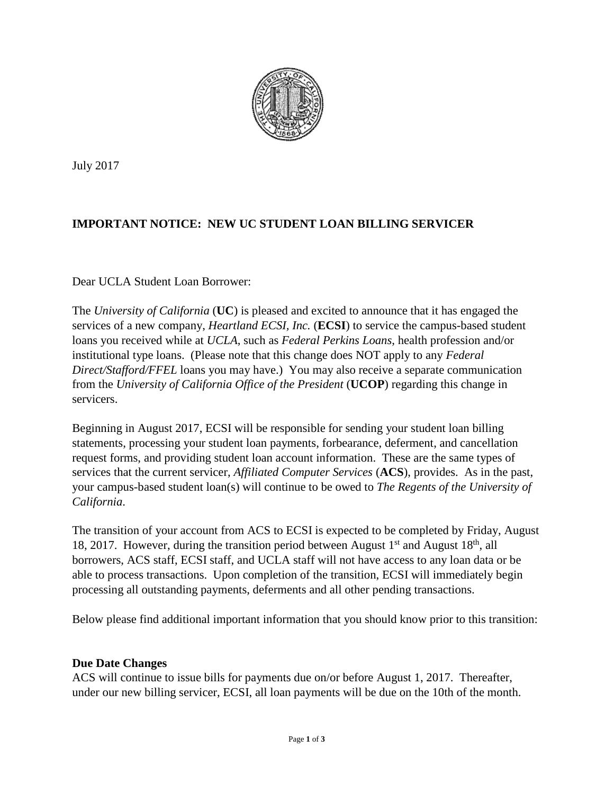

July 2017

# **IMPORTANT NOTICE: NEW UC STUDENT LOAN BILLING SERVICER**

### Dear UCLA Student Loan Borrower:

The *University of California* (**UC**) is pleased and excited to announce that it has engaged the services of a new company, *Heartland ECSI, Inc.* (**ECSI**) to service the campus-based student loans you received while at *UCLA*, such as *Federal Perkins Loans*, health profession and/or institutional type loans. (Please note that this change does NOT apply to any *Federal Direct/Stafford/FFEL* loans you may have.) You may also receive a separate communication from the *University of California Office of the President* (**UCOP**) regarding this change in servicers.

Beginning in August 2017, ECSI will be responsible for sending your student loan billing statements, processing your student loan payments, forbearance, deferment, and cancellation request forms, and providing student loan account information. These are the same types of services that the current servicer, *Affiliated Computer Services* (**ACS**), provides. As in the past, your campus-based student loan(s) will continue to be owed to *The Regents of the University of California*.

The transition of your account from ACS to ECSI is expected to be completed by Friday, August 18, 2017. However, during the transition period between August  $1<sup>st</sup>$  and August  $18<sup>th</sup>$ , all borrowers, ACS staff, ECSI staff, and UCLA staff will not have access to any loan data or be able to process transactions. Upon completion of the transition, ECSI will immediately begin processing all outstanding payments, deferments and all other pending transactions.

Below please find additional important information that you should know prior to this transition:

### **Due Date Changes**

ACS will continue to issue bills for payments due on/or before August 1, 2017. Thereafter, under our new billing servicer, ECSI, all loan payments will be due on the 10th of the month.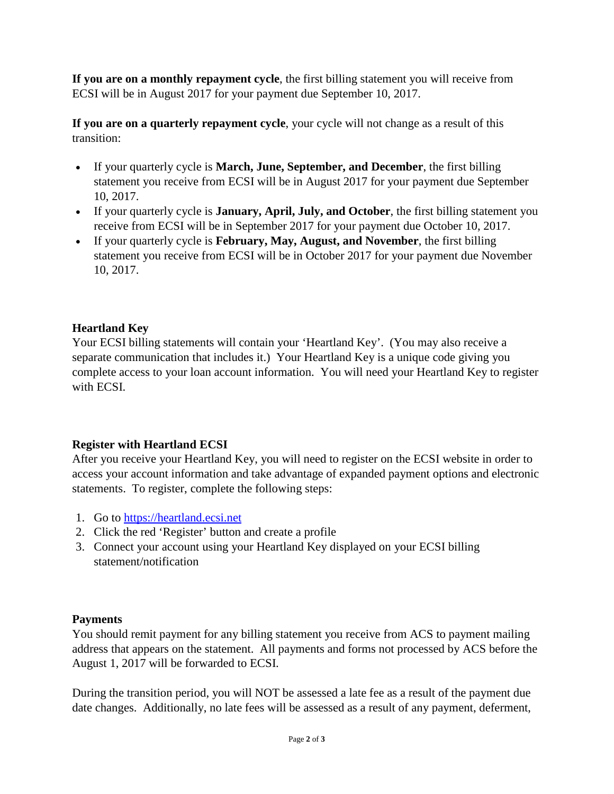**If you are on a monthly repayment cycle**, the first billing statement you will receive from ECSI will be in August 2017 for your payment due September 10, 2017.

**If you are on a quarterly repayment cycle**, your cycle will not change as a result of this transition:

- If your quarterly cycle is **March, June, September, and December**, the first billing statement you receive from ECSI will be in August 2017 for your payment due September 10, 2017.
- If your quarterly cycle is **January, April, July, and October**, the first billing statement you receive from ECSI will be in September 2017 for your payment due October 10, 2017.
- If your quarterly cycle is **February, May, August, and November**, the first billing statement you receive from ECSI will be in October 2017 for your payment due November 10, 2017.

## **Heartland Key**

Your ECSI billing statements will contain your 'Heartland Key'. (You may also receive a separate communication that includes it.) Your Heartland Key is a unique code giving you complete access to your loan account information. You will need your Heartland Key to register with ECSI.

## **Register with Heartland ECSI**

After you receive your Heartland Key, you will need to register on the ECSI website in order to access your account information and take advantage of expanded payment options and electronic statements. To register, complete the following steps:

- 1. Go to [https://heartland.ecsi.net](https://heartland.ecsi.net/)
- 2. Click the red 'Register' button and create a profile
- 3. Connect your account using your Heartland Key displayed on your ECSI billing statement/notification

## **Payments**

You should remit payment for any billing statement you receive from ACS to payment mailing address that appears on the statement. All payments and forms not processed by ACS before the August 1, 2017 will be forwarded to ECSI.

During the transition period, you will NOT be assessed a late fee as a result of the payment due date changes. Additionally, no late fees will be assessed as a result of any payment, deferment,